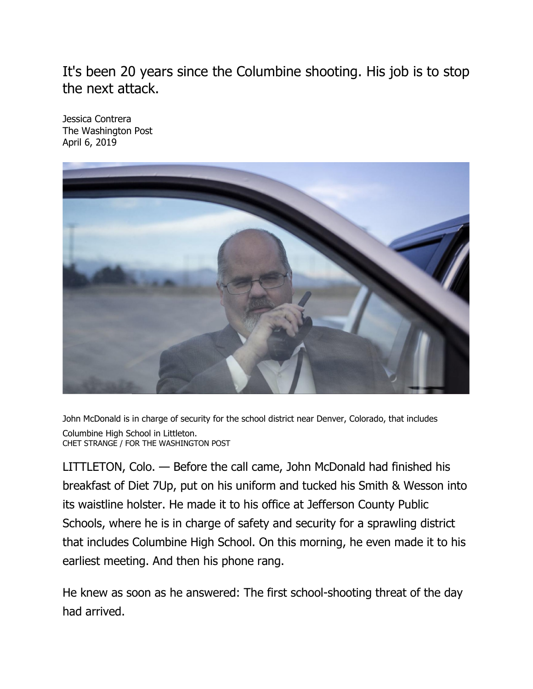It's been 20 years since the Columbine shooting. His job is to stop the next attack.

Jessica Contrera The Washington Post April 6, 2019



John McDonald is in charge of security for the school district near Denver, Colorado, that includes Columbine High School in Littleton. CHET STRANGE / FOR THE WASHINGTON POST

LITTLETON, Colo. — Before the call came, John McDonald had finished his breakfast of Diet 7Up, put on his uniform and tucked his Smith & Wesson into its waistline holster. He made it to his office at Jefferson County Public Schools, where he is in charge of safety and security for a sprawling district that includes Columbine High School. On this morning, he even made it to his earliest meeting. And then his phone rang.

He knew as soon as he answered: The first school-shooting threat of the day had arrived.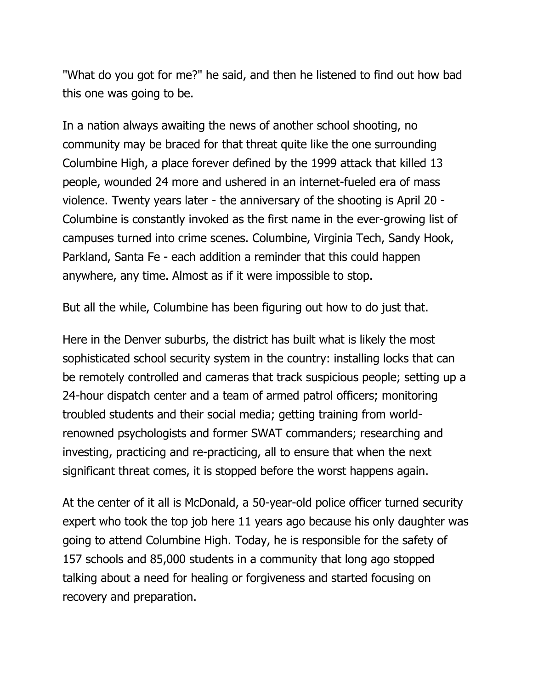"What do you got for me?" he said, and then he listened to find out how bad this one was going to be.

In a nation always awaiting the news of another school shooting, no community may be braced for that threat quite like the one surrounding Columbine High, a place forever defined by the 1999 attack that killed 13 people, wounded 24 more and ushered in an internet-fueled era of mass violence. Twenty years later - the anniversary of the shooting is April 20 - Columbine is constantly invoked as the first name in the ever-growing list of campuses turned into crime scenes. Columbine, Virginia Tech, Sandy Hook, Parkland, Santa Fe - each addition a reminder that this could happen anywhere, any time. Almost as if it were impossible to stop.

But all the while, Columbine has been figuring out how to do just that.

Here in the Denver suburbs, the district has built what is likely the most sophisticated school security system in the country: installing locks that can be remotely controlled and cameras that track suspicious people; setting up a 24-hour dispatch center and a team of armed patrol officers; monitoring troubled students and their social media; getting training from worldrenowned psychologists and former SWAT commanders; researching and investing, practicing and re-practicing, all to ensure that when the next significant threat comes, it is stopped before the worst happens again.

At the center of it all is McDonald, a 50-year-old police officer turned security expert who took the top job here 11 years ago because his only daughter was going to attend Columbine High. Today, he is responsible for the safety of 157 schools and 85,000 students in a community that long ago stopped talking about a need for healing or forgiveness and started focusing on recovery and preparation.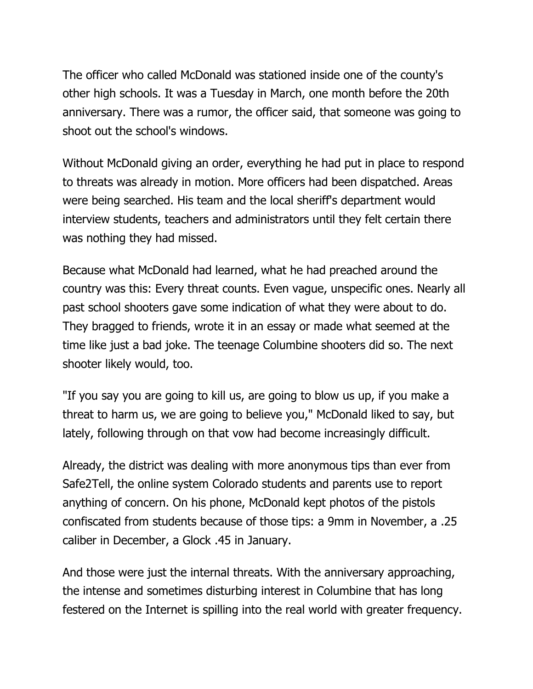The officer who called McDonald was stationed inside one of the county's other high schools. It was a Tuesday in March, one month before the 20th anniversary. There was a rumor, the officer said, that someone was going to shoot out the school's windows.

Without McDonald giving an order, everything he had put in place to respond to threats was already in motion. More officers had been dispatched. Areas were being searched. His team and the local sheriff's department would interview students, teachers and administrators until they felt certain there was nothing they had missed.

Because what McDonald had learned, what he had preached around the country was this: Every threat counts. Even vague, unspecific ones. Nearly all past school shooters gave some indication of what they were about to do. They bragged to friends, wrote it in an essay or made what seemed at the time like just a bad joke. The teenage Columbine shooters did so. The next shooter likely would, too.

"If you say you are going to kill us, are going to blow us up, if you make a threat to harm us, we are going to believe you," McDonald liked to say, but lately, following through on that vow had become increasingly difficult.

Already, the district was dealing with more anonymous tips than ever from Safe2Tell, the online system Colorado students and parents use to report anything of concern. On his phone, McDonald kept photos of the pistols confiscated from students because of those tips: a 9mm in November, a .25 caliber in December, a Glock .45 in January.

And those were just the internal threats. With the anniversary approaching, the intense and sometimes disturbing interest in Columbine that has long festered on the Internet is spilling into the real world with greater frequency.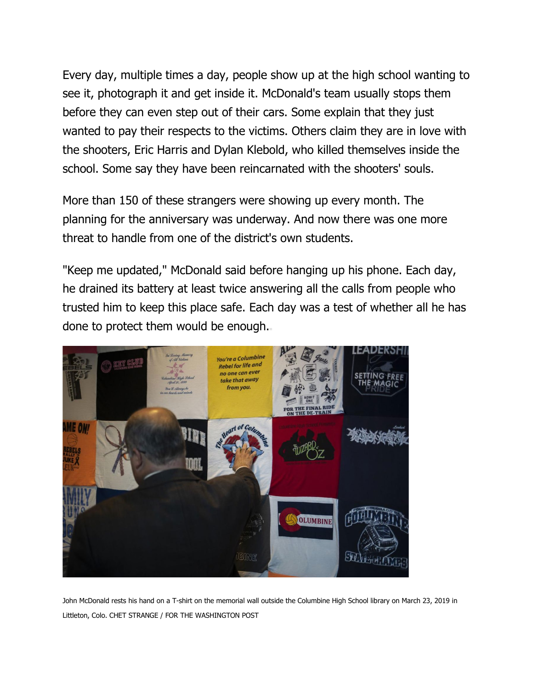Every day, multiple times a day, people show up at the high school wanting to see it, photograph it and get inside it. McDonald's team usually stops them before they can even step out of their cars. Some explain that they just wanted to pay their respects to the victims. Others claim they are in love with the shooters, Eric Harris and Dylan Klebold, who killed themselves inside the school. Some say they have been reincarnated with the shooters' souls.

More than 150 of these strangers were showing up every month. The planning for the anniversary was underway. And now there was one more threat to handle from one of the district's own students.

"Keep me updated," McDonald said before hanging up his phone. Each day, he drained its battery at least twice answering all the calls from people who trusted him to keep this place safe. Each day was a test of whether all he has done to protect them would be enough.



John McDonald rests his hand on a T-shirt on the memorial wall outside the Columbine High School library on March 23, 2019 in Littleton, Colo. CHET STRANGE / FOR THE WASHINGTON POST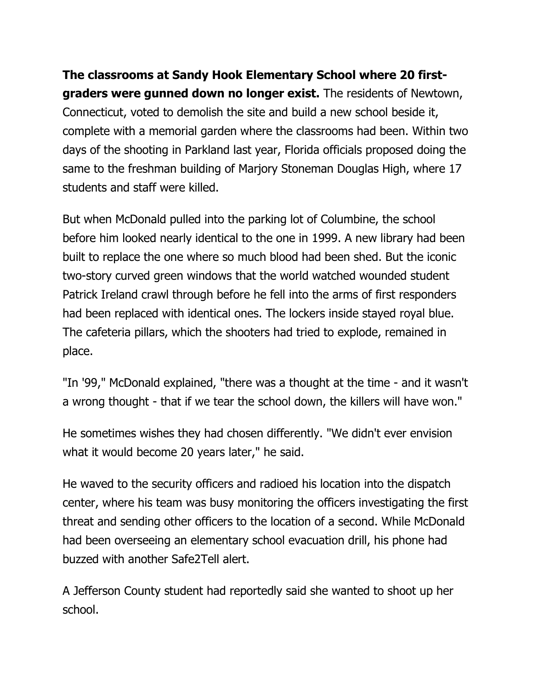**The classrooms at Sandy Hook Elementary School where 20 firstgraders were gunned down no longer exist.** The residents of Newtown, Connecticut, voted to demolish the site and build a new school beside it, complete with a memorial garden where the classrooms had been. Within two days of the shooting in Parkland last year, Florida officials proposed doing the same to the freshman building of Marjory Stoneman Douglas High, where 17 students and staff were killed.

But when McDonald pulled into the parking lot of Columbine, the school before him looked nearly identical to the one in 1999. A new library had been built to replace the one where so much blood had been shed. But the iconic two-story curved green windows that the world watched wounded student Patrick Ireland crawl through before he fell into the arms of first responders had been replaced with identical ones. The lockers inside stayed royal blue. The cafeteria pillars, which the shooters had tried to explode, remained in place.

"In '99," McDonald explained, "there was a thought at the time - and it wasn't a wrong thought - that if we tear the school down, the killers will have won."

He sometimes wishes they had chosen differently. "We didn't ever envision what it would become 20 years later," he said.

He waved to the security officers and radioed his location into the dispatch center, where his team was busy monitoring the officers investigating the first threat and sending other officers to the location of a second. While McDonald had been overseeing an elementary school evacuation drill, his phone had buzzed with another Safe2Tell alert.

A Jefferson County student had reportedly said she wanted to shoot up her school.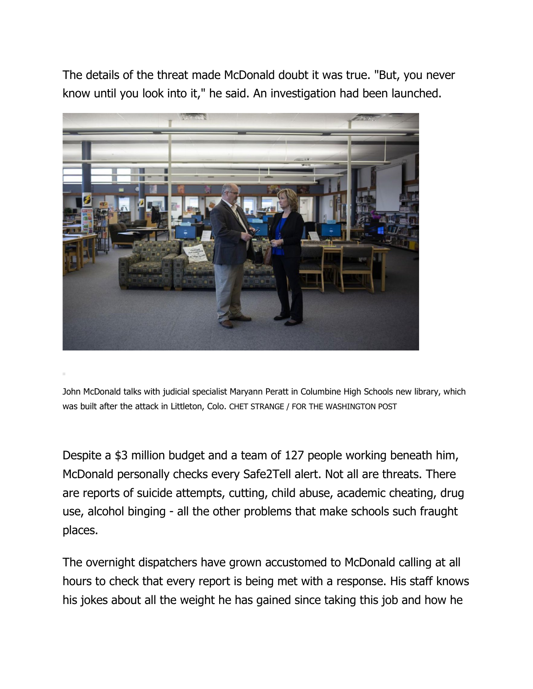The details of the threat made McDonald doubt it was true. "But, you never know until you look into it," he said. An investigation had been launched.



John McDonald talks with judicial specialist Maryann Peratt in Columbine High Schools new library, which was built after the attack in Littleton, Colo. CHET STRANGE / FOR THE WASHINGTON POST

Despite a \$3 million budget and a team of 127 people working beneath him, McDonald personally checks every Safe2Tell alert. Not all are threats. There are reports of suicide attempts, cutting, child abuse, academic cheating, drug use, alcohol binging - all the other problems that make schools such fraught places.

The overnight dispatchers have grown accustomed to McDonald calling at all hours to check that every report is being met with a response. His staff knows his jokes about all the weight he has gained since taking this job and how he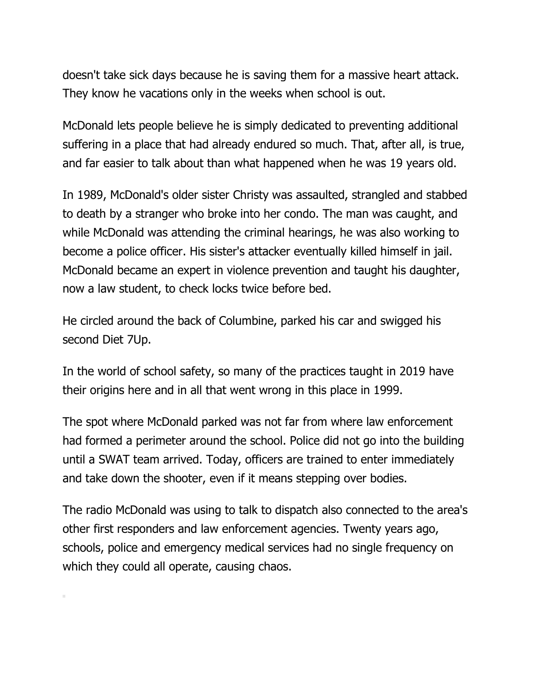doesn't take sick days because he is saving them for a massive heart attack. They know he vacations only in the weeks when school is out.

McDonald lets people believe he is simply dedicated to preventing additional suffering in a place that had already endured so much. That, after all, is true, and far easier to talk about than what happened when he was 19 years old.

In 1989, McDonald's older sister Christy was assaulted, strangled and stabbed to death by a stranger who broke into her condo. The man was caught, and while McDonald was attending the criminal hearings, he was also working to become a police officer. His sister's attacker eventually killed himself in jail. McDonald became an expert in violence prevention and taught his daughter, now a law student, to check locks twice before bed.

He circled around the back of Columbine, parked his car and swigged his second Diet 7Up.

In the world of school safety, so many of the practices taught in 2019 have their origins here and in all that went wrong in this place in 1999.

The spot where McDonald parked was not far from where law enforcement had formed a perimeter around the school. Police did not go into the building until a SWAT team arrived. Today, officers are trained to enter immediately and take down the shooter, even if it means stepping over bodies.

The radio McDonald was using to talk to dispatch also connected to the area's other first responders and law enforcement agencies. Twenty years ago, schools, police and emergency medical services had no single frequency on which they could all operate, causing chaos.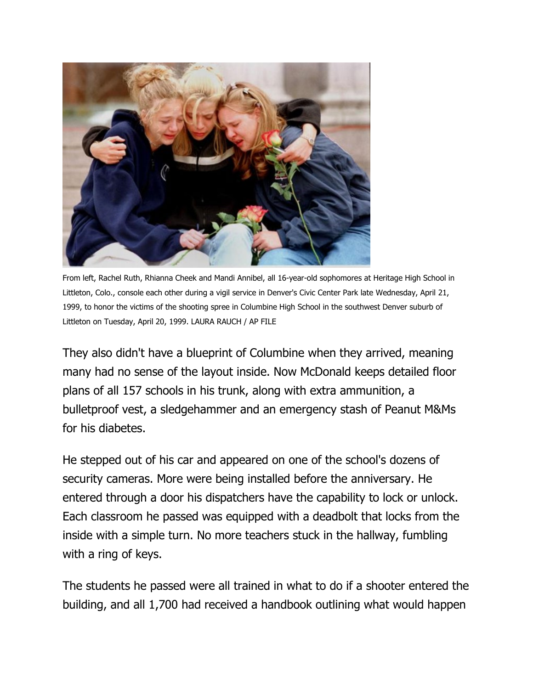

From left, Rachel Ruth, Rhianna Cheek and Mandi Annibel, all 16-year-old sophomores at Heritage High School in Littleton, Colo., console each other during a vigil service in Denver's Civic Center Park late Wednesday, April 21, 1999, to honor the victims of the shooting spree in Columbine High School in the southwest Denver suburb of Littleton on Tuesday, April 20, 1999. LAURA RAUCH / AP FILE

They also didn't have a blueprint of Columbine when they arrived, meaning many had no sense of the layout inside. Now McDonald keeps detailed floor plans of all 157 schools in his trunk, along with extra ammunition, a bulletproof vest, a sledgehammer and an emergency stash of Peanut M&Ms for his diabetes.

He stepped out of his car and appeared on one of the school's dozens of security cameras. More were being installed before the anniversary. He entered through a door his dispatchers have the capability to lock or unlock. Each classroom he passed was equipped with a deadbolt that locks from the inside with a simple turn. No more teachers stuck in the hallway, fumbling with a ring of keys.

The students he passed were all trained in what to do if a shooter entered the building, and all 1,700 had received a handbook outlining what would happen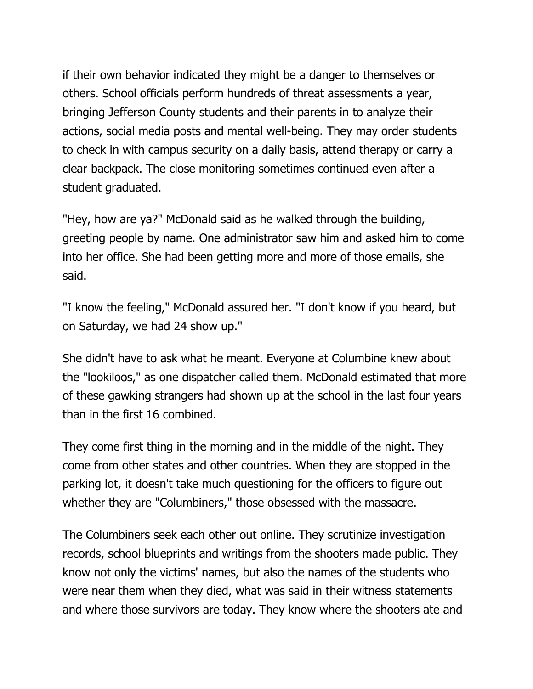if their own behavior indicated they might be a danger to themselves or others. School officials perform hundreds of threat assessments a year, bringing Jefferson County students and their parents in to analyze their actions, social media posts and mental well-being. They may order students to check in with campus security on a daily basis, attend therapy or carry a clear backpack. The close monitoring sometimes continued even after a student graduated.

"Hey, how are ya?" McDonald said as he walked through the building, greeting people by name. One administrator saw him and asked him to come into her office. She had been getting more and more of those emails, she said.

"I know the feeling," McDonald assured her. "I don't know if you heard, but on Saturday, we had 24 show up."

She didn't have to ask what he meant. Everyone at Columbine knew about the "lookiloos," as one dispatcher called them. McDonald estimated that more of these gawking strangers had shown up at the school in the last four years than in the first 16 combined.

They come first thing in the morning and in the middle of the night. They come from other states and other countries. When they are stopped in the parking lot, it doesn't take much questioning for the officers to figure out whether they are "Columbiners," those obsessed with the massacre.

The Columbiners seek each other out online. They scrutinize investigation records, school blueprints and writings from the shooters made public. They know not only the victims' names, but also the names of the students who were near them when they died, what was said in their witness statements and where those survivors are today. They know where the shooters ate and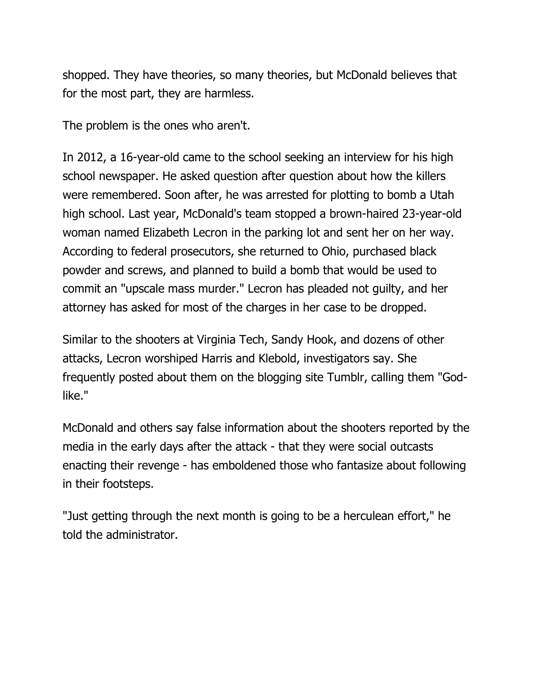shopped. They have theories, so many theories, but McDonald believes that for the most part, they are harmless.

The problem is the ones who aren't.

In 2012, a 16-year-old came to the school seeking an interview for his high school newspaper. He asked question after question about how the killers were remembered. Soon after, he was arrested for plotting to bomb a Utah high school. Last year, McDonald's team stopped a brown-haired 23-year-old woman named Elizabeth Lecron in the parking lot and sent her on her way. According to federal prosecutors, she returned to Ohio, purchased black powder and screws, and planned to build a bomb that would be used to commit an "upscale mass murder." Lecron has pleaded not guilty, and her attorney has asked for most of the charges in her case to be dropped.

Similar to the shooters at Virginia Tech, Sandy Hook, and dozens of other attacks, Lecron worshiped Harris and Klebold, investigators say. She frequently posted about them on the blogging site Tumblr, calling them "Godlike."

McDonald and others say false information about the shooters reported by the media in the early days after the attack - that they were social outcasts enacting their revenge - has emboldened those who fantasize about following in their footsteps.

"Just getting through the next month is going to be a herculean effort," he told the administrator.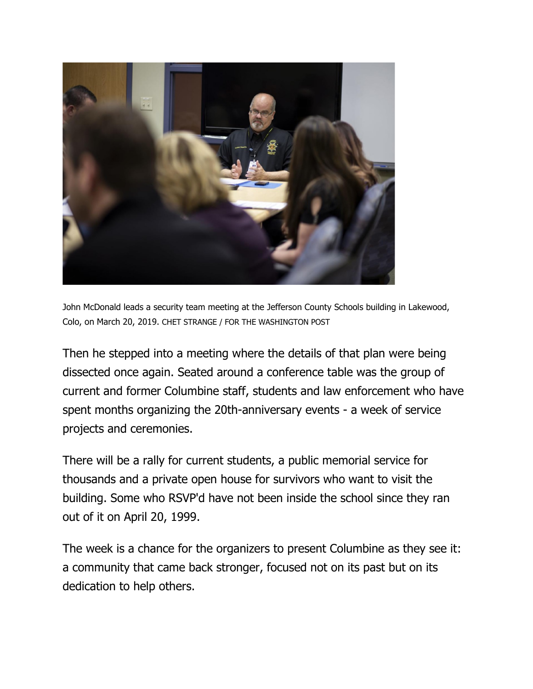

John McDonald leads a security team meeting at the Jefferson County Schools building in Lakewood, Colo, on March 20, 2019. CHET STRANGE / FOR THE WASHINGTON POST

Then he stepped into a meeting where the details of that plan were being dissected once again. Seated around a conference table was the group of current and former Columbine staff, students and law enforcement who have spent months organizing the 20th-anniversary events - a week of service projects and ceremonies.

There will be a rally for current students, a public memorial service for thousands and a private open house for survivors who want to visit the building. Some who RSVP'd have not been inside the school since they ran out of it on April 20, 1999.

The week is a chance for the organizers to present Columbine as they see it: a community that came back stronger, focused not on its past but on its dedication to help others.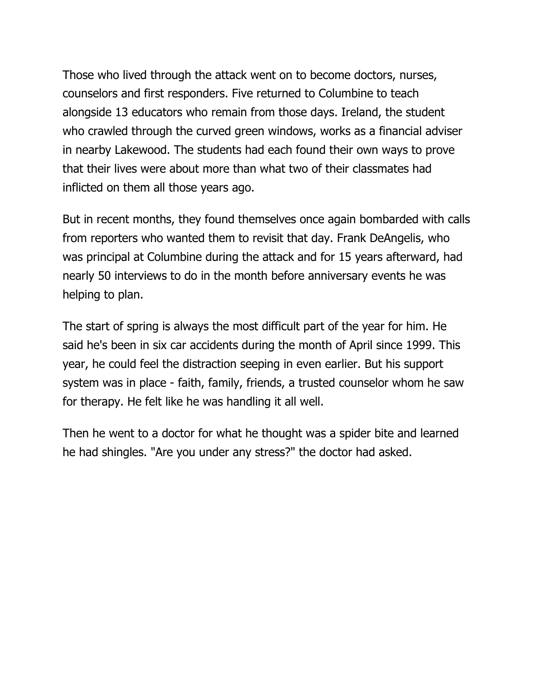Those who lived through the attack went on to become doctors, nurses, counselors and first responders. Five returned to Columbine to teach alongside 13 educators who remain from those days. Ireland, the student who crawled through the curved green windows, works as a financial adviser in nearby Lakewood. The students had each found their own ways to prove that their lives were about more than what two of their classmates had inflicted on them all those years ago.

But in recent months, they found themselves once again bombarded with calls from reporters who wanted them to revisit that day. Frank DeAngelis, who was principal at Columbine during the attack and for 15 years afterward, had nearly 50 interviews to do in the month before anniversary events he was helping to plan.

The start of spring is always the most difficult part of the year for him. He said he's been in six car accidents during the month of April since 1999. This year, he could feel the distraction seeping in even earlier. But his support system was in place - faith, family, friends, a trusted counselor whom he saw for therapy. He felt like he was handling it all well.

Then he went to a doctor for what he thought was a spider bite and learned he had shingles. "Are you under any stress?" the doctor had asked.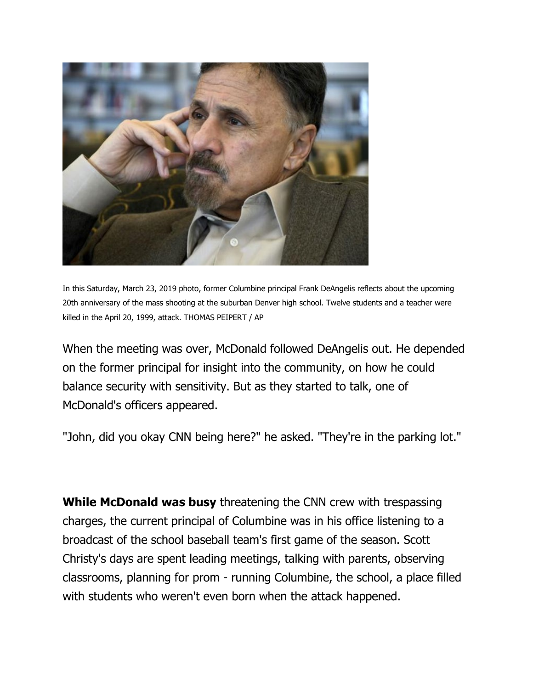

In this Saturday, March 23, 2019 photo, former Columbine principal Frank DeAngelis reflects about the upcoming 20th anniversary of the mass shooting at the suburban Denver high school. Twelve students and a teacher were killed in the April 20, 1999, attack. THOMAS PEIPERT / AP

When the meeting was over, McDonald followed DeAngelis out. He depended on the former principal for insight into the community, on how he could balance security with sensitivity. But as they started to talk, one of McDonald's officers appeared.

"John, did you okay CNN being here?" he asked. "They're in the parking lot."

**While McDonald was busy** threatening the CNN crew with trespassing charges, the current principal of Columbine was in his office listening to a broadcast of the school baseball team's first game of the season. Scott Christy's days are spent leading meetings, talking with parents, observing classrooms, planning for prom - running Columbine, the school, a place filled with students who weren't even born when the attack happened.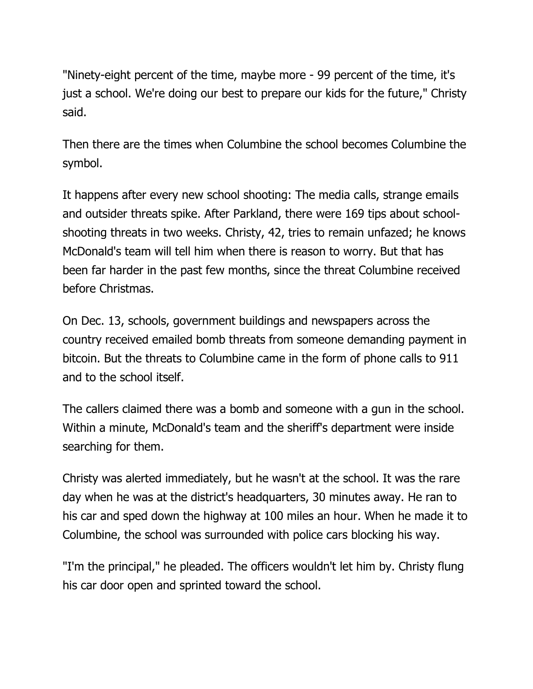"Ninety-eight percent of the time, maybe more - 99 percent of the time, it's just a school. We're doing our best to prepare our kids for the future," Christy said.

Then there are the times when Columbine the school becomes Columbine the symbol.

It happens after every new school shooting: The media calls, strange emails and outsider threats spike. After Parkland, there were 169 tips about schoolshooting threats in two weeks. Christy, 42, tries to remain unfazed; he knows McDonald's team will tell him when there is reason to worry. But that has been far harder in the past few months, since the threat Columbine received before Christmas.

On Dec. 13, schools, government buildings and newspapers across the country received emailed bomb threats from someone demanding payment in bitcoin. But the threats to Columbine came in the form of phone calls to 911 and to the school itself.

The callers claimed there was a bomb and someone with a gun in the school. Within a minute, McDonald's team and the sheriff's department were inside searching for them.

Christy was alerted immediately, but he wasn't at the school. It was the rare day when he was at the district's headquarters, 30 minutes away. He ran to his car and sped down the highway at 100 miles an hour. When he made it to Columbine, the school was surrounded with police cars blocking his way.

"I'm the principal," he pleaded. The officers wouldn't let him by. Christy flung his car door open and sprinted toward the school.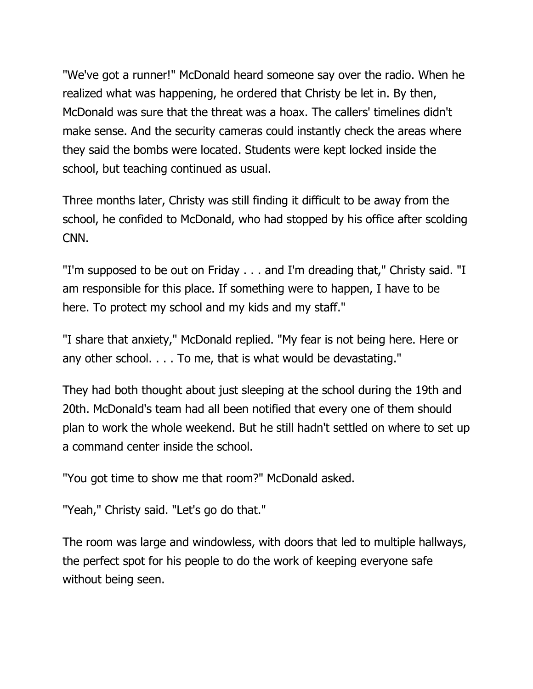"We've got a runner!" McDonald heard someone say over the radio. When he realized what was happening, he ordered that Christy be let in. By then, McDonald was sure that the threat was a hoax. The callers' timelines didn't make sense. And the security cameras could instantly check the areas where they said the bombs were located. Students were kept locked inside the school, but teaching continued as usual.

Three months later, Christy was still finding it difficult to be away from the school, he confided to McDonald, who had stopped by his office after scolding CNN.

"I'm supposed to be out on Friday . . . and I'm dreading that," Christy said. "I am responsible for this place. If something were to happen, I have to be here. To protect my school and my kids and my staff."

"I share that anxiety," McDonald replied. "My fear is not being here. Here or any other school. . . . To me, that is what would be devastating."

They had both thought about just sleeping at the school during the 19th and 20th. McDonald's team had all been notified that every one of them should plan to work the whole weekend. But he still hadn't settled on where to set up a command center inside the school.

"You got time to show me that room?" McDonald asked.

"Yeah," Christy said. "Let's go do that."

The room was large and windowless, with doors that led to multiple hallways, the perfect spot for his people to do the work of keeping everyone safe without being seen.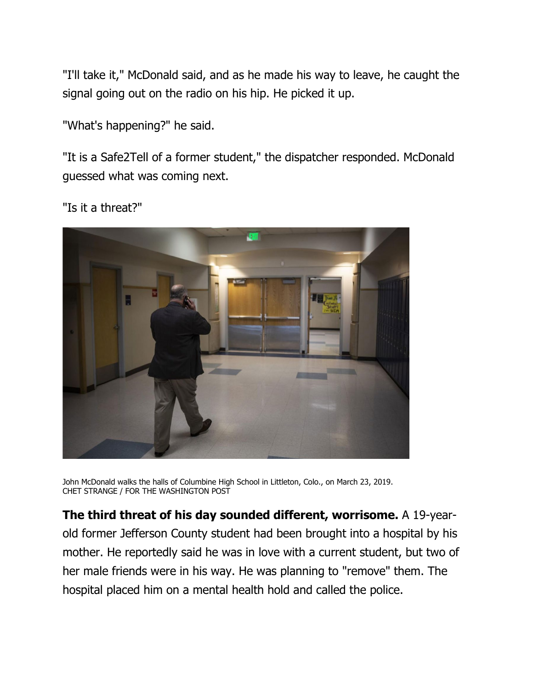"I'll take it," McDonald said, and as he made his way to leave, he caught the signal going out on the radio on his hip. He picked it up.

"What's happening?" he said.

"It is a Safe2Tell of a former student," the dispatcher responded. McDonald guessed what was coming next.

"Is it a threat?"



John McDonald walks the halls of Columbine High School in Littleton, Colo., on March 23, 2019. CHET STRANGE / FOR THE WASHINGTON POST

**The third threat of his day sounded different, worrisome.** A 19-yearold former Jefferson County student had been brought into a hospital by his mother. He reportedly said he was in love with a current student, but two of her male friends were in his way. He was planning to "remove" them. The hospital placed him on a mental health hold and called the police.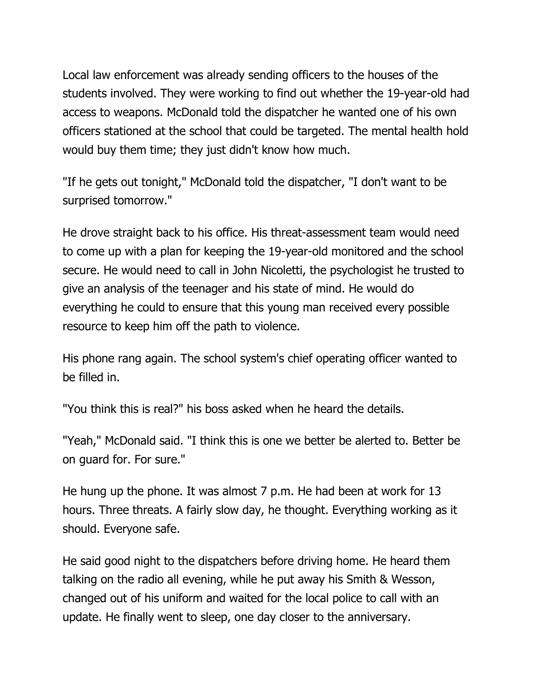Local law enforcement was already sending officers to the houses of the students involved. They were working to find out whether the 19-year-old had access to weapons. McDonald told the dispatcher he wanted one of his own officers stationed at the school that could be targeted. The mental health hold would buy them time; they just didn't know how much.

"If he gets out tonight," McDonald told the dispatcher, "I don't want to be surprised tomorrow."

He drove straight back to his office. His threat-assessment team would need to come up with a plan for keeping the 19-year-old monitored and the school secure. He would need to call in John Nicoletti, the psychologist he trusted to give an analysis of the teenager and his state of mind. He would do everything he could to ensure that this young man received every possible resource to keep him off the path to violence.

His phone rang again. The school system's chief operating officer wanted to be filled in.

"You think this is real?" his boss asked when he heard the details.

"Yeah," McDonald said. "I think this is one we better be alerted to. Better be on guard for. For sure."

He hung up the phone. It was almost 7 p.m. He had been at work for 13 hours. Three threats. A fairly slow day, he thought. Everything working as it should. Everyone safe.

He said good night to the dispatchers before driving home. He heard them talking on the radio all evening, while he put away his Smith & Wesson, changed out of his uniform and waited for the local police to call with an update. He finally went to sleep, one day closer to the anniversary.